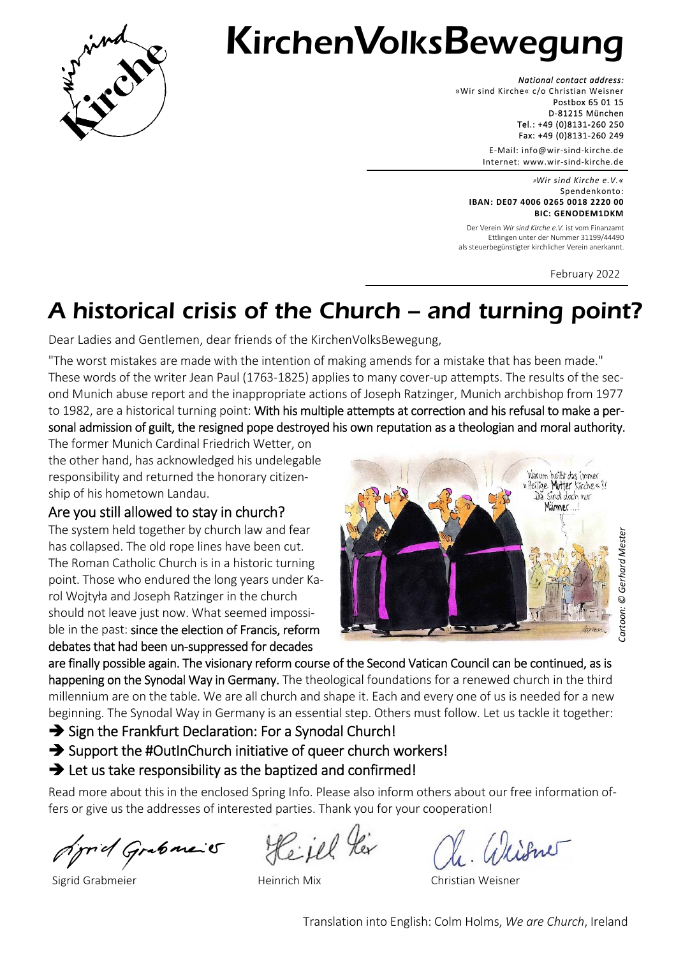

# KirchenVolksBewegung

*National contact address:*  »Wir sind Kirche« c/o Christian Weisner Postbox 65 01 15 D‐81215 München Tel.: +49 (0)8131‐260 250 Fax: +49 (0)8131‐260 249

> E‐Mail: info@wir‐sind‐kirche.de Internet: www.wir‐sind‐kirche.de

»*Wir sind Kirche e.V.«* Spendenkonto: **IBAN: DE07 4006 0265 0018 2220 00 BIC: GENODEM1DKM**

Der Verein *Wir sind Kirche e.V.* ist vom Finanzamt Ettlingen unter der Nummer 31199/44490 als steuerbegünstigter kirchlicher Verein anerkannt.

February 2022

# A historical crisis of the Church — and turning point?

Dear Ladies and Gentlemen, dear friends of the KirchenVolksBewegung,

"The worst mistakes are made with the intention of making amends for a mistake that has been made." These words of the writer Jean Paul (1763‐1825) applies to many cover‐up attempts. The results of the sec‐ ond Munich abuse report and the inappropriate actions of Joseph Ratzinger, Munich archbishop from 1977 to 1982, are a historical turning point: With his multiple attempts at correction and his refusal to make a personal admission of guilt, the resigned pope destroyed his own reputation as a theologian and moral authority.

The former Munich Cardinal Friedrich Wetter, on the other hand, has acknowledged his undelegable responsibility and returned the honorary citizen‐ ship of his hometown Landau.

Are you still allowed to stay in church?

The system held together by church law and fear has collapsed. The old rope lines have been cut. The Roman Catholic Church is in a historic turning point. Those who endured the long years under Ka‐ rol Wojtyła and Joseph Ratzinger in the church should not leave just now. What seemed impossi‐ ble in the past: since the election of Francis, reform debates that had been un‐suppressed for decades



are finally possible again. The visionary reform course of the Second Vatican Council can be continued, as is happening on the Synodal Way in Germany. The theological foundations for a renewed church in the third millennium are on the table. We are all church and shape it. Each and every one of us is needed for a new beginning. The Synodal Way in Germany is an essential step. Others must follow. Let us tackle it together:

 $\rightarrow$  Sign the Frankfurt Declaration: For a Synodal Church!

 $\rightarrow$  Support the #OutInChurch initiative of queer church workers!

# $\rightarrow$  Let us take responsibility as the baptized and confirmed!

Read more about this in the enclosed Spring Info. Please also inform others about our free information offers or give us the addresses of interested parties. Thank you for your cooperation!

Sprid Grabaraic

Heil!

Sigrid Grabmeier Heinrich Mix Christian Weisner

Translation into English: Colm Holms, *We are Church*, Ireland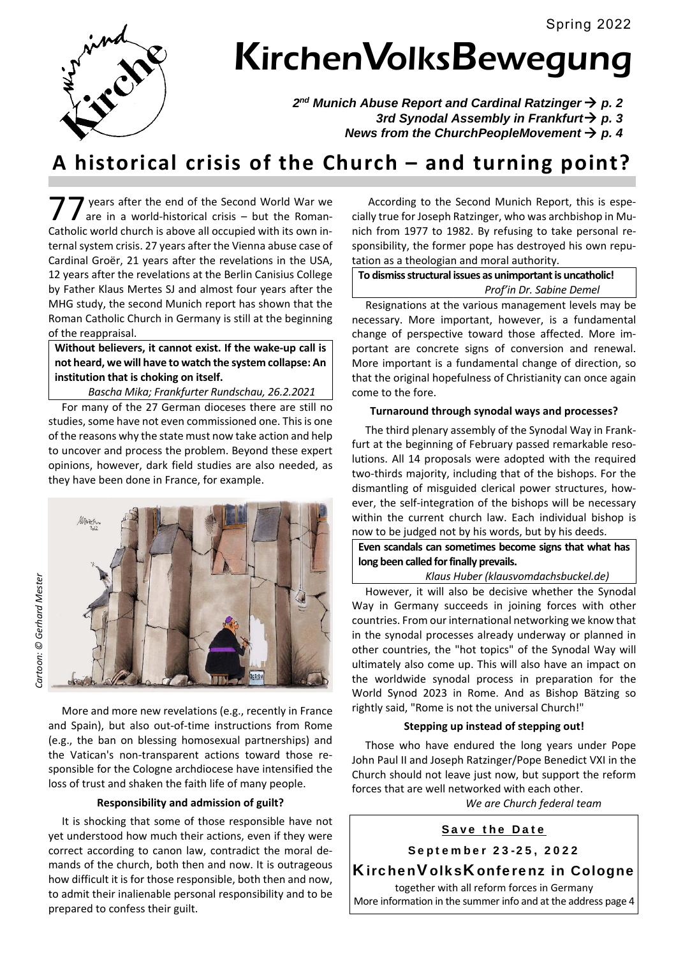

# KirchenVolksBewegung

2<sup>nd</sup> Munich Abuse Report and Cardinal Ratzinger → p. 2  *3rd Synodal Assembly in Frankfurt p. 3 News from the ChurchPeopleMovement p. 4* 

# **A historical crisis of the Church – and turning point?**

 years after the end of the Second World War we are in a world-historical crisis - but the Roman-Treats after the end of the Second World War we are in a world-historical crisis – but the Roman-Catholic world church is above all occupied with its own internal system crisis. 27 years after the Vienna abuse case of Cardinal Groër, 21 years after the revelations in the USA, 12 years after the revelations at the Berlin Canisius College by Father Klaus Mertes SJ and almost four years after the MHG study, the second Munich report has shown that the Roman Catholic Church in Germany is still at the beginning of the reappraisal.

# **Without believers, it cannot exist. If the wake‐up call is not heard, we will have to watch the system collapse: An**  institution that is choking on itself.

 *Bascha Mika; Frankfurter Rundschau, 26.2.2021*

 For many of the 27 German dioceses there are still no studies, some have not even commissioned one. This is one of the reasons why the state must now take action and help to uncover and process the problem. Beyond these expert opinions, however, dark field studies are also needed, as they have been done in France, for example.

*Cartoon: © Gerhard Mester*  Cartoon: © Gerhard Mester



 More and more new revelations (e.g., recently in France and Spain), but also out-of-time instructions from Rome (e.g., the ban on blessing homosexual partnerships) and the Vatican's non‐transparent actions toward those re‐ sponsible for the Cologne archdiocese have intensified the loss of trust and shaken the faith life of many people.

# **Responsibility and admission of guilt?**

 It is shocking that some of those responsible have not yet understood how much their actions, even if they were correct according to canon law, contradict the moral demands of the church, both then and now. It is outrageous how difficult it is for those responsible, both then and now, to admit their inalienable personal responsibility and to be prepared to confess their guilt.

 According to the Second Munich Report, this is espe‐ cially true for Joseph Ratzinger, who was archbishop in Mu‐ nich from 1977 to 1982. By refusing to take personal re‐ sponsibility, the former pope has destroyed his own repu‐ tation as a theologian and moral authority.

### **To dismiss structural issues as unimportant is uncatholic!**  *Prof'in Dr. Sabine Demel*

 Resignations at the various management levels may be necessary. More important, however, is a fundamental change of perspective toward those affected. More im‐ portant are concrete signs of conversion and renewal. More important is a fundamental change of direction, so that the original hopefulness of Christianity can once again come to the fore.

# **Turnaround through synodal ways and processes?**

 The third plenary assembly of the Synodal Way in Frank‐ furt at the beginning of February passed remarkable reso‐ lutions. All 14 proposals were adopted with the required two-thirds majority, including that of the bishops. For the dismantling of misguided clerical power structures, how‐ ever, the self‐integration of the bishops will be necessary within the current church law. Each individual bishop is now to be judged not by his words, but by his deeds.

**Even scandals can sometimes become signs that what has long been called for finally prevails.** 

# *Klaus Huber (klausvomdachsbuckel.de)*

 However, it will also be decisive whether the Synodal Way in Germany succeeds in joining forces with other countries. From our international networking we know that in the synodal processes already underway or planned in other countries, the "hot topics" of the Synodal Way will ultimately also come up. This will also have an impact on the worldwide synodal process in preparation for the World Synod 2023 in Rome. And as Bishop Bätzing so rightly said, "Rome is not the universal Church!"

# **Stepping up instead of stepping out!**

 Those who have endured the long years under Pope John Paul II and Joseph Ratzinger/Pope Benedict VXI in the Church should not leave just now, but support the reform forces that are well networked with each other.

*We are Church federal team* 

# Save the Date

September 23-25, 2022

# KirchenVolksKonferenz in Cologne

together with all reform forces in Germany More information in the summer info and at the address page 4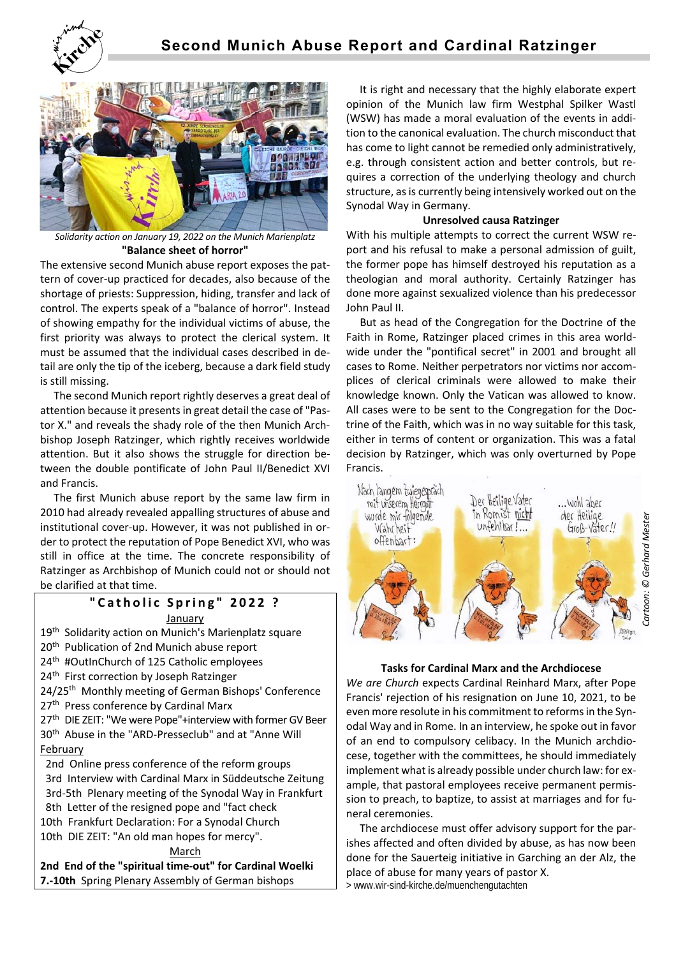



*Solidarity action on January 19, 2022 on the Munich Marienplatz* **"Balance sheet of horror"** 

The extensive second Munich abuse report exposes the pat‐ tern of cover‐up practiced for decades, also because of the shortage of priests: Suppression, hiding, transfer and lack of control. The experts speak of a "balance of horror". Instead of showing empathy for the individual victims of abuse, the first priority was always to protect the clerical system. It must be assumed that the individual cases described in de‐ tail are only the tip of the iceberg, because a dark field study is still missing.

 The second Munich report rightly deserves a great deal of attention because it presents in great detail the case of "Pas‐ tor X." and reveals the shady role of the then Munich Arch‐ bishop Joseph Ratzinger, which rightly receives worldwide attention. But it also shows the struggle for direction between the double pontificate of John Paul II/Benedict XVI and Francis.

 The first Munich abuse report by the same law firm in 2010 had already revealed appalling structures of abuse and institutional cover‐up. However, it was not published in or‐ der to protect the reputation of Pope Benedict XVI, who was still in office at the time. The concrete responsibility of Ratzinger as Archbishop of Munich could not or should not be clarified at that time.

# **"Catholic Spring" 2022 ?**

January

19<sup>th</sup> Solidarity action on Munich's Marienplatz square 20<sup>th</sup> Publication of 2nd Munich abuse report 24<sup>th</sup> #OutInChurch of 125 Catholic employees 24<sup>th</sup> First correction by Joseph Ratzinger 24/25<sup>th</sup> Monthly meeting of German Bishops' Conference 27<sup>th</sup> Press conference by Cardinal Marx 27<sup>th</sup> DIE ZEIT: "We were Pope"+interview with former GV Beer 30th Abuse in the "ARD‐Presseclub" and at "Anne Will February 2nd Online press conference of the reform groups 3rd Interview with Cardinal Marx in Süddeutsche Zeitung 3rd‐5th Plenary meeting of the Synodal Way in Frankfurt 8th Letter of the resigned pope and "fact check 10th Frankfurt Declaration: For a Synodal Church 10th DIE ZEIT: "An old man hopes for mercy". March

**2nd End of the "spiritual time‐out" for Cardinal Woelki 7.‐10th** Spring Plenary Assembly of German bishops

 It is right and necessary that the highly elaborate expert opinion of the Munich law firm Westphal Spilker Wastl (WSW) has made a moral evaluation of the events in addi‐ tion to the canonical evaluation. The church misconduct that has come to light cannot be remedied only administratively, e.g. through consistent action and better controls, but re‐ quires a correction of the underlying theology and church structure, as is currently being intensively worked out on the Synodal Way in Germany.

# **Unresolved causa Ratzinger**

With his multiple attempts to correct the current WSW report and his refusal to make a personal admission of guilt, the former pope has himself destroyed his reputation as a theologian and moral authority. Certainly Ratzinger has done more against sexualized violence than his predecessor John Paul II.

 But as head of the Congregation for the Doctrine of the Faith in Rome, Ratzinger placed crimes in this area world‐ wide under the "pontifical secret" in 2001 and brought all cases to Rome. Neither perpetrators nor victims nor accom‐ plices of clerical criminals were allowed to make their knowledge known. Only the Vatican was allowed to know. All cases were to be sent to the Congregation for the Doc‐ trine of the Faith, which was in no way suitable for this task, either in terms of content or organization. This was a fatal decision by Ratzinger, which was only overturned by Pope Francis.



# **Tasks for Cardinal Marx and the Archdiocese**

*We are Church* expects Cardinal Reinhard Marx, after Pope Francis' rejection of his resignation on June 10, 2021, to be even more resolute in his commitment to reforms in the Syn‐ odal Way and in Rome. In an interview, he spoke out in favor of an end to compulsory celibacy. In the Munich archdiocese, together with the committees, he should immediately implement what is already possible under church law: for example, that pastoral employees receive permanent permis‐ sion to preach, to baptize, to assist at marriages and for fu‐ neral ceremonies.

 The archdiocese must offer advisory support for the par‐ ishes affected and often divided by abuse, as has now been done for the Sauerteig initiative in Garching an der Alz, the place of abuse for many years of pastor X.

> www.wir-sind-kirche.de/muenchengutachten